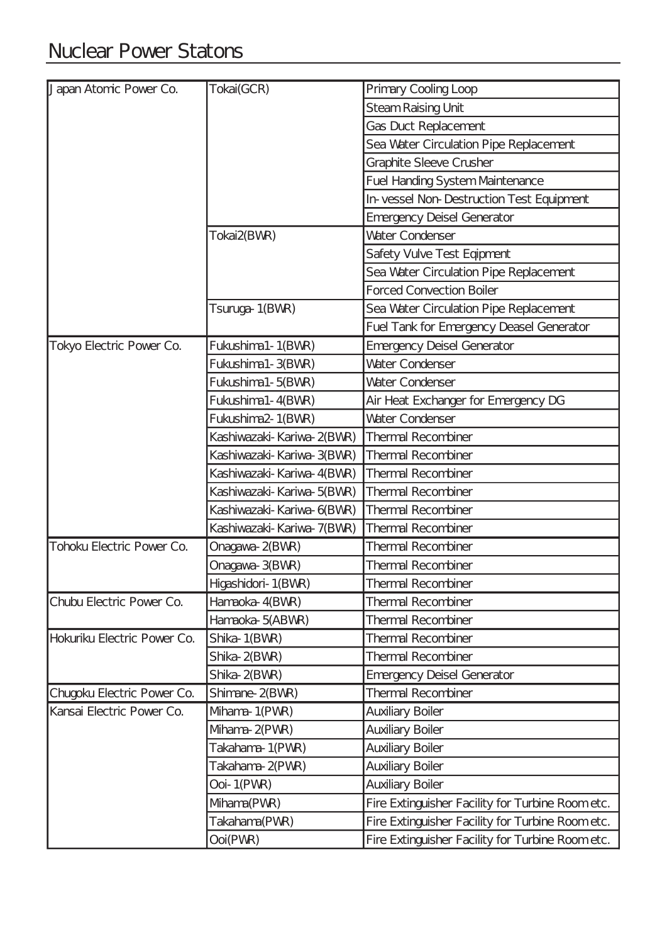| Japan Atomic Power Co.      | Tokai(GCR)                | Primary Cooling Loop                                        |
|-----------------------------|---------------------------|-------------------------------------------------------------|
|                             |                           | <b>Steam Raising Unit</b>                                   |
|                             |                           | <b>Gas Duct Replacement</b>                                 |
|                             |                           | Sea Water Circulation Pipe Replacement                      |
|                             |                           | <b>Graphite Sleeve Crusher</b>                              |
|                             |                           | <b>Fuel Handing System Maintenance</b>                      |
|                             |                           | In-vessel Non-Destruction Test Equipment                    |
|                             |                           |                                                             |
|                             | Tokai2(BWR)               | <b>Emergency Deisel Generator</b><br><b>Water Condenser</b> |
|                             |                           |                                                             |
|                             |                           | Safety Vulve Test Eqipment                                  |
|                             |                           | Sea Water Circulation Pipe Replacement                      |
|                             |                           | <b>Forced Convection Boiler</b>                             |
|                             | Tsuruga-1(BWR)            | Sea Water Circulation Pipe Replacement                      |
|                             |                           | Fuel Tank for Emergency Deasel Generator                    |
| Tokyo Electric Power Co.    | Fukushima1-1(BVM)         | <b>Emergency Deisel Generator</b>                           |
|                             | Fukushima1-3(BVR)         | Water Condenser                                             |
|                             | Fukushima1-5(BVR)         | <b>Water Condenser</b>                                      |
|                             | Fukushima1-4(BVR)         | Air Heat Exchanger for Emergency DG                         |
|                             | Fukushima2-1(BWR)         | Water Condenser                                             |
|                             | Kashiwazaki-Kariwa-2(BWR) | <b>Thermal Recombiner</b>                                   |
|                             | Kashiwazaki-Kariwa-3(BWR) | <b>Thermal Recombiner</b>                                   |
|                             | Kashiwazaki-Kariwa-4(BWR) | <b>Thermal Recombiner</b>                                   |
|                             | Kashiwazaki-Kariwa-5(BWR) | Thermal Recombiner                                          |
|                             | Kashiwazaki-Kariwa-6(BWR) | <b>Thermal Recombiner</b>                                   |
|                             | Kashiwazaki-Kariwa-7(BWR) | <b>Thermal Recombiner</b>                                   |
| Tohoku Electric Power Co.   | Onagawa-2(BWR)            | <b>Thermal Recombiner</b>                                   |
|                             | Onagawa-3(BWR)            | <b>Thermal Recombiner</b>                                   |
|                             | Higashidori-1(BVR)        | <b>Thermal Recombiner</b>                                   |
| Chubu Electric Power Co.    | Hamaoka-4(BVVR)           | <b>Thermal Recombiner</b>                                   |
|                             | Hamaoka-5(ABVR)           | <b>Thermal Recombiner</b>                                   |
| Hokuriku Electric Power Co. | Shika-1(BWR)              | <b>Thermal Recombiner</b>                                   |
|                             | Shika-2(BVR)              | <b>Thermal Recombiner</b>                                   |
|                             | Shika-2(BVR)              | <b>Emergency Deisel Generator</b>                           |
| Chugoku Electric Power Co.  | Shimane-2(BWR)            | <b>Thermal Recombiner</b>                                   |
| Kansai Electric Power Co.   | Mhama-1(PWR)              | <b>Auxiliary Boiler</b>                                     |
|                             | Mhama-2(PWR)              | <b>Auxiliary Boiler</b>                                     |
|                             | Takahama-1(PVR)           | <b>Auxiliary Boiler</b>                                     |
|                             | Takahama-2(PWR)           | <b>Auxiliary Boiler</b>                                     |
|                             | Ooi-1(PWR)                | <b>Auxiliary Boiler</b>                                     |
|                             | Mhama(PWR)                | Fire Extinguisher Facility for Turbine Room etc.            |
|                             | Takahama(PWR)             | Fire Extinguisher Facility for Turbine Room etc.            |
|                             | Ooi(PWR)                  | Fire Extinguisher Facility for Turbine Room etc.            |